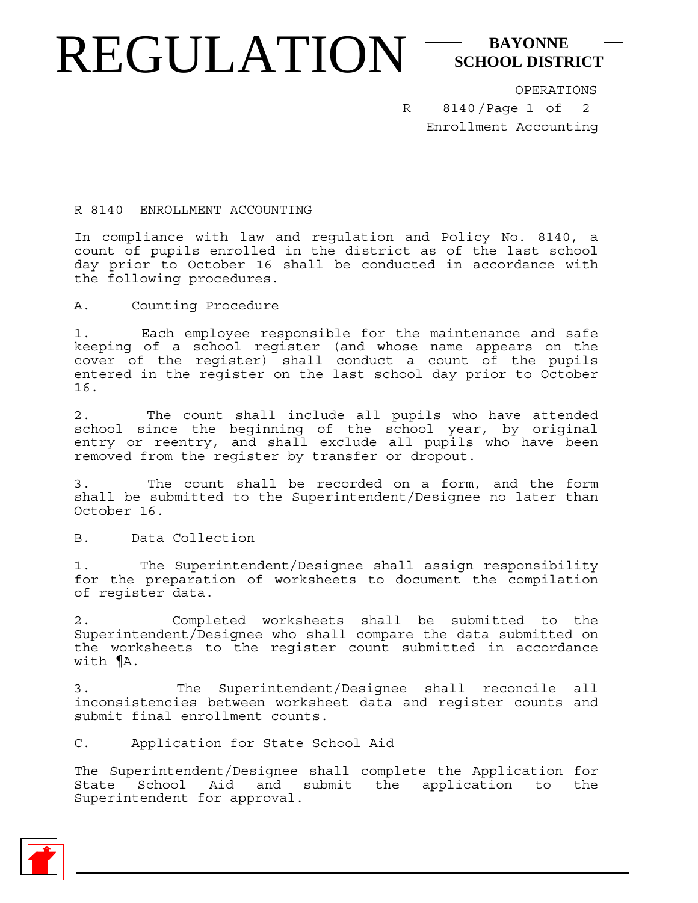## REGULATION<sup>-SCHOOL DISTI</sup> **SCHOOL DISTRICT**

R

OPERATIONS

8140/Page 1 of Enrollment Accounting 2

R 8140 ENROLLMENT ACCOUNTING

In compliance with law and regulation and Policy No. 8140, a count of pupils enrolled in the district as of the last school day prior to October 16 shall be conducted in accordance with the following procedures.

A. Counting Procedure

1. Each employee responsible for the maintenance and safe keeping of a school register (and whose name appears on the cover of the register) shall conduct a count of the pupils entered in the register on the last school day prior to October 16.

2. The count shall include all pupils who have attended school since the beginning of the school year, by original entry or reentry, and shall exclude all pupils who have been removed from the register by transfer or dropout.

3. The count shall be recorded on a form, and the form shall be submitted to the Superintendent/Designee no later than October 16.

B. Data Collection

1. The Superintendent/Designee shall assign responsibility for the preparation of worksheets to document the compilation of register data.

2. Completed worksheets shall be submitted to the Superintendent/Designee who shall compare the data submitted on the worksheets to the register count submitted in accordance with ¶A.

3. The Superintendent/Designee shall reconcile all inconsistencies between worksheet data and register counts and submit final enrollment counts.

C. Application for State School Aid

The Superintendent/Designee shall complete the Application for State School Aid and submit the application to the Superintendent for approval.